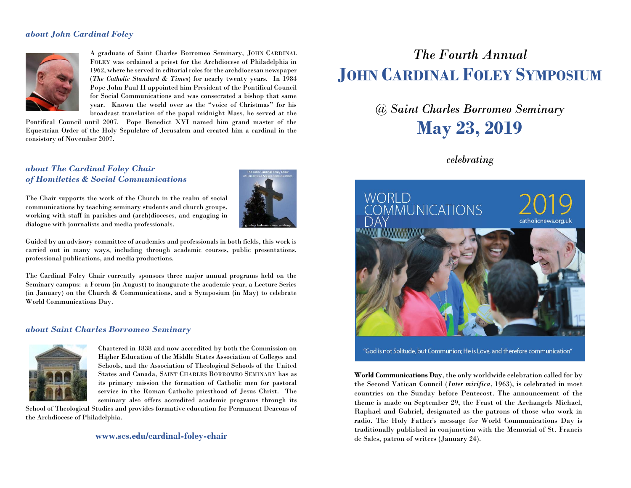#### *about John Cardinal Foley*



A graduate of Saint Charles Borromeo Seminary, JOHN CARDINAL FOLEY was ordained a priest for the Archdiocese of Philadelphia in 1962, where he served in editorial roles for the archdiocesan newspaper (*The Catholic Standard & Times*) for nearly twenty years. In 1984 Pope John Paul II appointed him President of the Pontifical Council for Social Communications and was consecrated a bishop that same year. Known the world over as the "voice of Christmas" for his broadcast translation of the papal midnight Mass, he served at the

Pontifical Council until 2007. Pope Benedict XVI named him grand master of the Equestrian Order of the Holy Sepulchre of Jerusalem and created him a cardinal in the consistory of November 2007.

*about The Cardinal Foley Chair of Homiletics & Social Communications*

The Chair supports the work of the Church in the realm of social communications by teaching seminary students and church groups, working with staff in parishes and (arch)dioceses, and engaging in dialogue with journalists and media professionals.



Guided by an advisory committee of academics and professionals in both fields, this work is carried out in many ways, including through academic courses, public presentations, professional publications, and media productions.

The Cardinal Foley Chair currently sponsors three major annual programs held on the Seminary campus: a Forum (in August) to inaugurate the academic year, a Lecture Series (in January) on the Church & Communications, and a Symposium (in May) to celebrate World Communications Day.

#### *about Saint Charles Borromeo Seminary*



Chartered in 1838 and now accredited by both the Commission on Higher Education of the Middle States Association of Colleges and Schools, and the Association of Theological Schools of the United States and Canada, SAINT CHARLES BORROMEO SEMINARY has as its primary mission the formation of Catholic men for pastoral service in the Roman Catholic priesthood of Jesus Christ. The seminary also offers accredited academic programs through its

School of Theological Studies and provides formative education for Permanent Deacons of the Archdiocese of Philadelphia.

#### **www.scs.edu/cardinal-foley-chair**

# *The Fourth Annual*  **JOHN CARDINAL FOLEY SYMPOSIUM**

# *@ Saint Charles Borromeo Seminary* **May 23, 2019**

### *celebrating*



"God is not Solitude, but Communion; He is Love, and therefore communication"

**World Communications Day**, the only worldwide celebration called for by the Second Vatican Council (*Inter mirifica*, 1963), is celebrated in most countries on the Sunday before Pentecost. The announcement of the theme is made on September 29, the Feast of the Archangels Michael, Raphael and Gabriel, designated as the patrons of those who work in radio. The Holy Father's message for World Communications Day is traditionally published in conjunction with the Memorial of St. Francis de Sales, patron of writers (January 24).